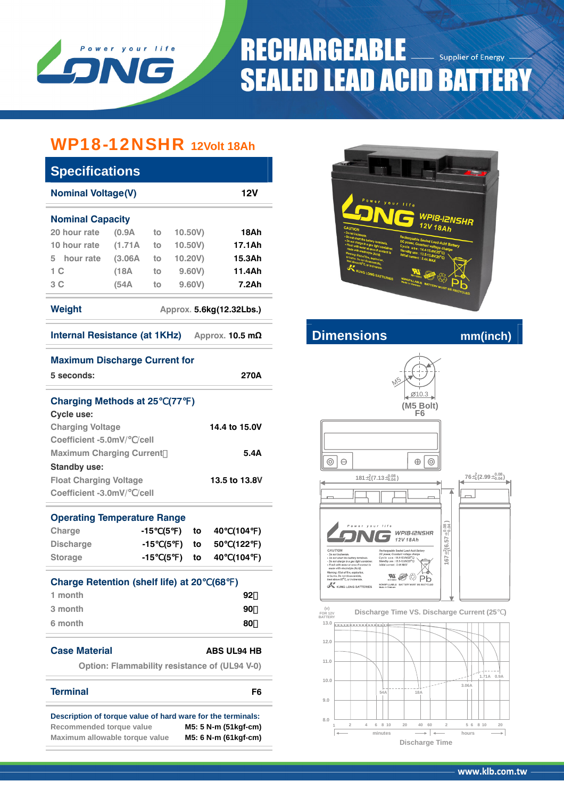

## **RECHARGEABLE Supplier of Energy SEALED LEAD ACID BATTERY**

### WP18-12NSHR **12Volt 18Ah**

| <b>Specifications</b>                            |                     |    |         |        |  |  |  |  |  |
|--------------------------------------------------|---------------------|----|---------|--------|--|--|--|--|--|
| 12V<br><b>Nominal Voltage(V)</b>                 |                     |    |         |        |  |  |  |  |  |
| <b>Nominal Capacity</b>                          |                     |    |         |        |  |  |  |  |  |
| 20 hour rate                                     | (0.9A)              | to | 10.50V  | 18Ah   |  |  |  |  |  |
| 10 hour rate                                     | (1.71A)             | to | 10,50V  | 17.1Ah |  |  |  |  |  |
| 5 hour rate                                      | (3.06A)             | to | 10.20V) | 15.3Ah |  |  |  |  |  |
| 1 <sup>C</sup>                                   | 9,60V<br>(18A<br>to |    |         |        |  |  |  |  |  |
| 3 C<br>(54A                                      |                     | to | 9.60V   | 7.2Ah  |  |  |  |  |  |
| Weight<br>Approx. 5.6kg(12.32Lbs.)               |                     |    |         |        |  |  |  |  |  |
| Internal Resistance (at 1KHz)<br>Approx. 10.5 mΩ |                     |    |         |        |  |  |  |  |  |

**Maximum Discharge Current for** 



**Internal Resistance (a) A** *a* **Dimensions** mm(inch)



| 5 seconds:                                    |       |    |              |          |      | 270A               |           |
|-----------------------------------------------|-------|----|--------------|----------|------|--------------------|-----------|
| Charging Methods at 25 (77)                   |       |    |              |          |      |                    |           |
| Cycle use:                                    |       |    |              |          |      |                    |           |
| <b>Charging Voltage</b>                       |       |    |              |          |      | 14.4 to 15.0V      |           |
| Coefficient -5.0mV/ /cell                     |       |    |              |          |      |                    |           |
| <b>Maximum Charging Current</b>               |       |    |              |          |      | 5.4A               |           |
| <b>Standby use:</b>                           |       |    |              |          |      |                    |           |
| <b>Float Charging Voltage</b>                 |       |    |              |          |      | 13.5 to 13.8V      |           |
| Coefficient -3.0mV/ /cell                     |       |    |              |          |      |                    |           |
|                                               |       |    |              |          |      |                    |           |
| <b>Operating Temperature Range</b>            |       |    |              |          |      |                    |           |
| Charge                                        | -15   |    | (5)          | to       | 40 - | (104               | $\lambda$ |
| <b>Discharge</b>                              | -15   |    |              | $(5)$ to | 50   | (122               | $\lambda$ |
| <b>Storage</b>                                | $-15$ | (5 | $\mathbf{L}$ | to       | 40   | (104               | $\lambda$ |
| <b>Charge Retention (shelf life) at 20</b>    |       |    |              |          | (68  | $\mathcal{E}$      |           |
| 1 month                                       |       |    |              |          |      | 92                 |           |
| 3 month                                       |       |    |              |          |      | 90                 |           |
| 6 month                                       |       |    |              |          |      | 80                 |           |
|                                               |       |    |              |          |      |                    |           |
| <b>Case Material</b>                          |       |    |              |          |      | <b>ABS UL94 HB</b> |           |
| Option: Flammability resistance of (UL94 V-0) |       |    |              |          |      |                    |           |
| <b>Terminal</b>                               |       |    |              |          |      | F <sub>6</sub>     |           |

**Description of torque value of hard ware for the terminals: Recommended torque value M5: 5 N-m (51kgf-cm) Maximum allowable torque value M5: 6 N-m (61kgf-cm)**